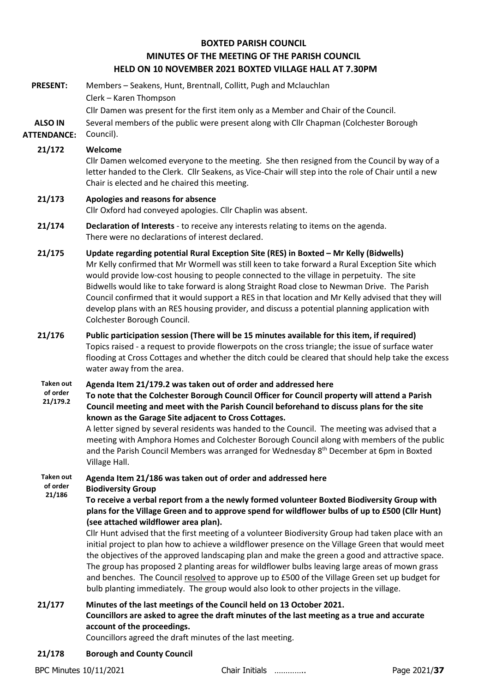# **BOXTED PARISH COUNCIL MINUTES OF THE MEETING OF THE PARISH COUNCIL HELD ON 10 NOVEMBER 2021 BOXTED VILLAGE HALL AT 7.30PM**

- **PRESENT:** Members Seakens, Hunt, Brentnall, Collitt, Pugh and Mclauchlan Clerk – Karen Thompson Cllr Damen was present for the first item only as a Member and Chair of the Council. **ALSO IN ATTENDANCE:** Several members of the public were present along with Cllr Chapman (Colchester Borough Council). **21/172 Welcome** Cllr Damen welcomed everyone to the meeting. She then resigned from the Council by way of a letter handed to the Clerk. Cllr Seakens, as Vice-Chair will step into the role of Chair until a new Chair is elected and he chaired this meeting. **21/173 Apologies and reasons for absence** Cllr Oxford had conveyed apologies. Cllr Chaplin was absent. **21/174 Declaration of Interests** - to receive any interests relating to items on the agenda. There were no declarations of interest declared. **21/175 Update regarding potential Rural Exception Site (RES) in Boxted – Mr Kelly (Bidwells)** Mr Kelly confirmed that Mr Wormell was still keen to take forward a Rural Exception Site which would provide low-cost housing to people connected to the village in perpetuity. The site Bidwells would like to take forward is along Straight Road close to Newman Drive. The Parish Council confirmed that it would support a RES in that location and Mr Kelly advised that they will develop plans with an RES housing provider, and discuss a potential planning application with Colchester Borough Council. **21/176 Public participation session (There will be 15 minutes available for this item, if required)** Topics raised - a request to provide flowerpots on the cross triangle; the issue of surface water flooding at Cross Cottages and whether the ditch could be cleared that should help take the excess water away from the area. **Taken out of order 21/179.2 Agenda Item 21/179.2 was taken out of order and addressed here To note that the Colchester Borough Council Officer for Council property will attend a Parish Council meeting and meet with the Parish Council beforehand to discuss plans for the site known as the Garage Site adjacent to Cross Cottages.** A letter signed by several residents was handed to the Council. The meeting was advised that a meeting with Amphora Homes and Colchester Borough Council along with members of the public and the Parish Council Members was arranged for Wednesday 8<sup>th</sup> December at 6pm in Boxted Village Hall. **Taken out of order 21/186 Agenda Item 21/186 was taken out of order and addressed here Biodiversity Group To receive a verbal report from a the newly formed volunteer Boxted Biodiversity Group with plans for the Village Green and to approve spend for wildflower bulbs of up to £500 (Cllr Hunt) (see attached wildflower area plan).** Cllr Hunt advised that the first meeting of a volunteer Biodiversity Group had taken place with an initial project to plan how to achieve a wildflower presence on the Village Green that would meet the objectives of the approved landscaping plan and make the green a good and attractive space. The group has proposed 2 planting areas for wildflower bulbs leaving large areas of mown grass and benches. The Council resolved to approve up to £500 of the Village Green set up budget for bulb planting immediately. The group would also look to other projects in the village. **21/177 Minutes of the last meetings of the Council held on 13 October 2021. Councillors are asked to agree the draft minutes of the last meeting as a true and accurate account of the proceedings.** Councillors agreed the draft minutes of the last meeting.
	- **21/178 Borough and County Council**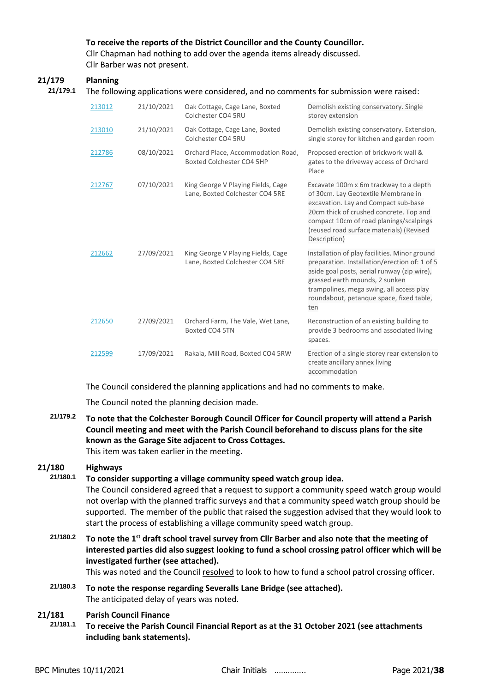## **To receive the reports of the District Councillor and the County Councillor.**

Cllr Chapman had nothing to add over the agenda items already discussed. Cllr Barber was not present.

### **21/179 Planning**

#### **21/179.1** The following applications were considered, and no comments for submission were raised:

| 213012 | 21/10/2021 | Oak Cottage, Cage Lane, Boxted<br>Colchester CO4 5RU                  | Demolish existing conservatory. Single<br>storey extension                                                                                                                                                                                                                     |
|--------|------------|-----------------------------------------------------------------------|--------------------------------------------------------------------------------------------------------------------------------------------------------------------------------------------------------------------------------------------------------------------------------|
| 213010 | 21/10/2021 | Oak Cottage, Cage Lane, Boxted<br>Colchester CO4 5RU                  | Demolish existing conservatory. Extension,<br>single storey for kitchen and garden room                                                                                                                                                                                        |
| 212786 | 08/10/2021 | Orchard Place, Accommodation Road,<br>Boxted Colchester CO4 5HP       | Proposed erection of brickwork wall &<br>gates to the driveway access of Orchard<br>Place                                                                                                                                                                                      |
| 212767 | 07/10/2021 | King George V Playing Fields, Cage<br>Lane, Boxted Colchester CO4 5RE | Excavate 100m x 6m trackway to a depth<br>of 30cm. Lay Geotextile Membrane in<br>excavation. Lay and Compact sub-base<br>20cm thick of crushed concrete. Top and<br>compact 10cm of road planings/scalpings<br>(reused road surface materials) (Revised<br>Description)        |
| 212662 | 27/09/2021 | King George V Playing Fields, Cage<br>Lane, Boxted Colchester CO4 5RE | Installation of play facilities. Minor ground<br>preparation. Installation/erection of: 1 of 5<br>aside goal posts, aerial runway (zip wire),<br>grassed earth mounds, 2 sunken<br>trampolines, mega swing, all access play<br>roundabout, petanque space, fixed table,<br>ten |
| 212650 | 27/09/2021 | Orchard Farm, The Vale, Wet Lane,<br>Boxted CO4 5TN                   | Reconstruction of an existing building to<br>provide 3 bedrooms and associated living<br>spaces.                                                                                                                                                                               |
| 212599 | 17/09/2021 | Rakaia, Mill Road, Boxted CO4 5RW                                     | Erection of a single storey rear extension to<br>create ancillary annex living<br>accommodation                                                                                                                                                                                |

The Council considered the planning applications and had no comments to make.

The Council noted the planning decision made.

# **21/179.2 To note that the Colchester Borough Council Officer for Council property will attend a Parish Council meeting and meet with the Parish Council beforehand to discuss plans for the site known as the Garage Site adjacent to Cross Cottages.** This item was taken earlier in the meeting.

# **21/180 Highways**

### **21/180.1 To consider supporting a village community speed watch group idea.**

The Council considered agreed that a request to support a community speed watch group would not overlap with the planned traffic surveys and that a community speed watch group should be supported. The member of the public that raised the suggestion advised that they would look to start the process of establishing a village community speed watch group.

**21/180.2 To note the 1st draft school travel survey from Cllr Barber and also note that the meeting of interested parties did also suggest looking to fund a school crossing patrol officer which will be investigated further (see attached).**

This was noted and the Council resolved to look to how to fund a school patrol crossing officer.

**21/180.3 To note the response regarding Severalls Lane Bridge (see attached).** The anticipated delay of years was noted.

# **21/181 Parish Council Finance**

**21/181.1 To receive the Parish Council Financial Report as at the 31 October 2021 (see attachments including bank statements).**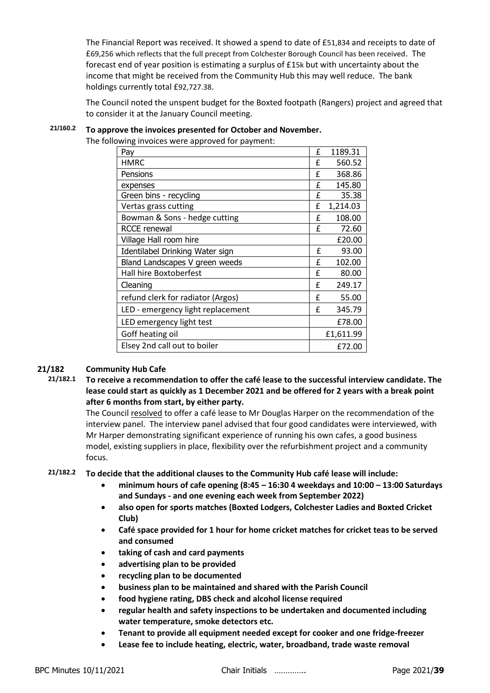The Financial Report was received. It showed a spend to date of £51,834 and receipts to date of £69,256 which reflects that the full precept from Colchester Borough Council has been received. The forecast end of year position is estimating a surplus of £15k but with uncertainty about the income that might be received from the Community Hub this may well reduce. The bank holdings currently total £92,727.38.

The Council noted the unspent budget for the Boxted footpath (Rangers) project and agreed that to consider it at the January Council meeting.

# **21/160.2 To approve the invoices presented for October and November.**

The following invoices were approved for payment:

| Pay                               | £ | 1189.31   |
|-----------------------------------|---|-----------|
| <b>HMRC</b>                       | £ | 560.52    |
| Pensions                          | £ | 368.86    |
| expenses                          | £ | 145.80    |
| Green bins - recycling            | £ | 35.38     |
| Vertas grass cutting              | £ | 1,214.03  |
| Bowman & Sons - hedge cutting     | £ | 108.00    |
| <b>RCCE</b> renewal               | f | 72.60     |
| Village Hall room hire            |   | £20.00    |
| Identilabel Drinking Water sign   | f | 93.00     |
| Bland Landscapes V green weeds    | £ | 102.00    |
| Hall hire Boxtoberfest            | f | 80.00     |
| Cleaning                          |   | 249.17    |
| refund clerk for radiator (Argos) |   | 55.00     |
| LED - emergency light replacement |   | 345.79    |
| LED emergency light test          |   | £78.00    |
| Goff heating oil                  |   | £1,611.99 |
| Elsey 2nd call out to boiler      |   | £72.00    |

### **21/182 Community Hub Cafe**

**21/182.1 To receive a recommendation to offer the café lease to the successful interview candidate. The lease could start as quickly as 1 December 2021 and be offered for 2 years with a break point after 6 months from start, by either party.**

The Council resolved to offer a café lease to Mr Douglas Harper on the recommendation of the interview panel. The interview panel advised that four good candidates were interviewed, with Mr Harper demonstrating significant experience of running his own cafes, a good business model, existing suppliers in place, flexibility over the refurbishment project and a community focus.

## **21/182.2 To decide that the additional clauses to the Community Hub café lease will include:**

- **minimum hours of cafe opening (8:45 – 16:30 4 weekdays and 10:00 – 13:00 Saturdays and Sundays - and one evening each week from September 2022)**
- **also open for sports matches (Boxted Lodgers, Colchester Ladies and Boxted Cricket Club)**
- **Café space provided for 1 hour for home cricket matches for cricket teas to be served and consumed**
- **taking of cash and card payments**
- **advertising plan to be provided**
- **recycling plan to be documented**
- **business plan to be maintained and shared with the Parish Council**
- **food hygiene rating, DBS check and alcohol license required**
- **regular health and safety inspections to be undertaken and documented including water temperature, smoke detectors etc.**
- **Tenant to provide all equipment needed except for cooker and one fridge-freezer**
- **Lease fee to include heating, electric, water, broadband, trade waste removal**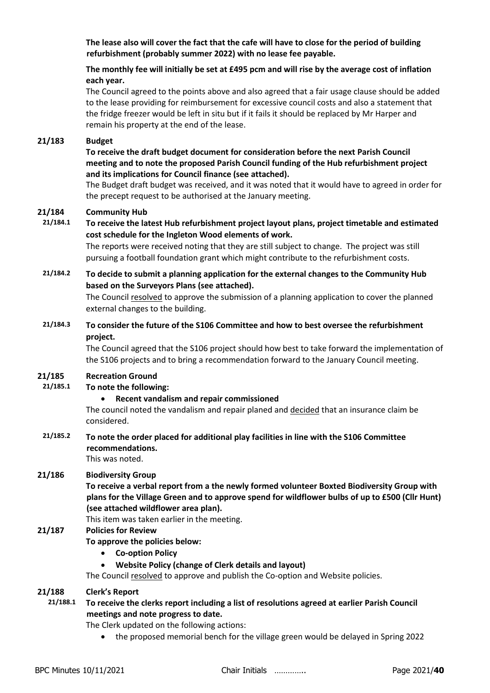**The lease also will cover the fact that the cafe will have to close for the period of building refurbishment (probably summer 2022) with no lease fee payable.**

## **The monthly fee will initially be set at £495 pcm and will rise by the average cost of inflation each year.**

The Council agreed to the points above and also agreed that a fair usage clause should be added to the lease providing for reimbursement for excessive council costs and also a statement that the fridge freezer would be left in situ but if it fails it should be replaced by Mr Harper and remain his property at the end of the lease.

#### **21/183 Budget**

## **To receive the draft budget document for consideration before the next Parish Council meeting and to note the proposed Parish Council funding of the Hub refurbishment project and its implications for Council finance (see attached).**

The Budget draft budget was received, and it was noted that it would have to agreed in order for the precept request to be authorised at the January meeting.

#### **21/184 Community Hub**

# **21/184.1 To receive the latest Hub refurbishment project layout plans, project timetable and estimated cost schedule for the Ingleton Wood elements of work.**

The reports were received noting that they are still subject to change. The project was still pursuing a football foundation grant which might contribute to the refurbishment costs.

# **21/184.2 To decide to submit a planning application for the external changes to the Community Hub based on the Surveyors Plans (see attached).**

The Council resolved to approve the submission of a planning application to cover the planned external changes to the building.

# **21/184.3 To consider the future of the S106 Committee and how to best oversee the refurbishment project.**

The Council agreed that the S106 project should how best to take forward the implementation of the S106 projects and to bring a recommendation forward to the January Council meeting.

### **21/185 Recreation Ground**

# **21/185.1 To note the following:**

• **Recent vandalism and repair commissioned** 

The council noted the vandalism and repair planed and decided that an insurance claim be considered.

# **21/185.2 To note the order placed for additional play facilities in line with the S106 Committee recommendations.**

#### This was noted.

### **21/186 Biodiversity Group**

**To receive a verbal report from a the newly formed volunteer Boxted Biodiversity Group with plans for the Village Green and to approve spend for wildflower bulbs of up to £500 (Cllr Hunt) (see attached wildflower area plan).**

### This item was taken earlier in the meeting.

# **21/187 Policies for Review**

### **To approve the policies below:**

- **Co-option Policy**
- **Website Policy (change of Clerk details and layout)**

The Council resolved to approve and publish the Co-option and Website policies.

### **21/188 Clerk's Report**

# **21/188.1 To receive the clerks report including a list of resolutions agreed at earlier Parish Council meetings and note progress to date.**

The Clerk updated on the following actions:

• the proposed memorial bench for the village green would be delayed in Spring 2022